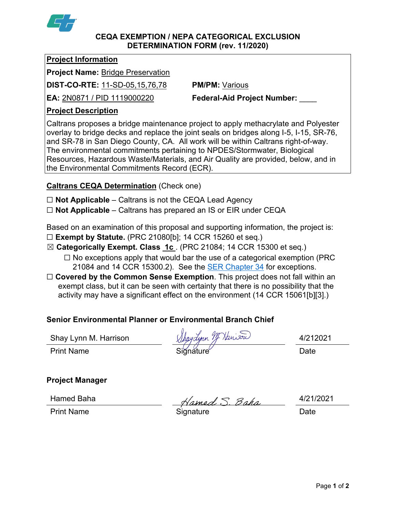

### **CEQA EXEMPTION / NEPA CATEGORICAL EXCLUSION DETERMINATION FORM (rev. 11/2020)**

### **Project Information**

**Project Name:** Bridge Preservation

**DIST-CO-RTE:** 11-SD-05,15,76,78 **PM/PM:** Various

**EA:** 2N0871 / PID 1119000220 **Federal-Aid Project Number:** \_\_\_\_

# **Project Description**

Caltrans proposes a bridge maintenance project to apply methacrylate and Polyester overlay to bridge decks and replace the joint seals on bridges along I-5, I-15, SR-76, and SR-78 in San Diego County, CA. All work will be within Caltrans right-of-way. The environmental commitments pertaining to NPDES/Stormwater, Biological Resources, Hazardous Waste/Materials, and Air Quality are provided, below, and in the Environmental Commitments Record (ECR).

# **Caltrans CEQA Determination** (Check one)

- ☐ **Not Applicable** Caltrans is not the CEQA Lead Agency
- ☐ **Not Applicable** Caltrans has prepared an IS or EIR under CEQA

Based on an examination of this proposal and supporting information, the project is:

- ☐ **Exempt by Statute.** (PRC 21080[b]; 14 CCR 15260 et seq.)
- ☒ **Categorically Exempt. Class 1c** . (PRC 21084; 14 CCR 15300 et seq.)
	- $\Box$  No exceptions apply that would bar the use of a categorical exemption (PRC 21084 and 14 CCR 15300.2). See the **SER Chapter 34** for exceptions.
- □ **Covered by the Common Sense Exemption**. This project does not fall within an exempt class, but it can be seen with certainty that there is no possibility that the activity may have a significant effect on the environment (14 CCR 15061[b][3].)

# **Senior Environmental Planner or Environmental Branch Chief**

Shay Lynn M. Harrison  $\chi$ *haydynn*  $\mathscr{Y}\hspace{-0.1cm}f$  *Nan* $\mathscr{S}\hspace{-0.1cm}\mathscr{U}$  *al/212021* 

Print Name Siğnature Date

**Project Manager**

Hamed Baha  $\overline{\qquad}$   $\overline{\qquad}$   $\overline{\qquad}$   $\overline{\qquad}$   $\overline{\qquad}$   $\overline{\qquad}$   $\overline{\qquad}$   $\overline{\qquad}$   $\overline{\qquad}$   $\overline{\qquad}$   $\overline{\qquad}$   $\overline{\qquad}$   $\overline{\qquad}$   $\overline{\qquad}$   $\overline{\qquad}$   $\overline{\qquad}$   $\overline{\qquad}$   $\overline{\qquad}$   $\overline{\qquad}$   $\overline{\qquad}$   $\overline{\qquad}$ 

Print Name **Signature** Signature Date

Page **1** of **2**